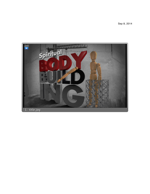Sep 8, 2014

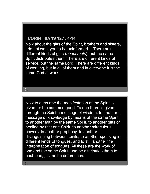## **I CORINTHIANS 12:1, 4-14**

Now about the gifts of the Spirit, brothers and sisters, I do not want you to be uninformed….There are different kinds of gifts (*charismata*) but the same Spirit distributes them. There are different kinds of service, but the same Lord. There are different kinds of working, but in all of them and in everyone it is the same God at work.

Now to each one the manifestation of the Spirit is given for the common good. To one there is given through the Spirit a message of wisdom, to another a message of knowledge by means of the same Spirit, to another faith by the same Spirit, to another gifts of healing by that one Spirit, to another miraculous powers, to another prophecy, to another distinguishing between spirits, to another speaking in different kinds of tongues, and to still another the interpretation of tongues. All these are the work of one and the same Spirit, and he distributes them to each one, just as he determines.

3. 3.

 $2<sub>1</sub>$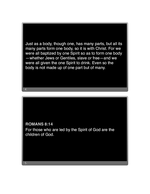

4. 4.

## **ROMANS 8:14**

For those who are led by the Spirit of God are the children of God.

5. 5.